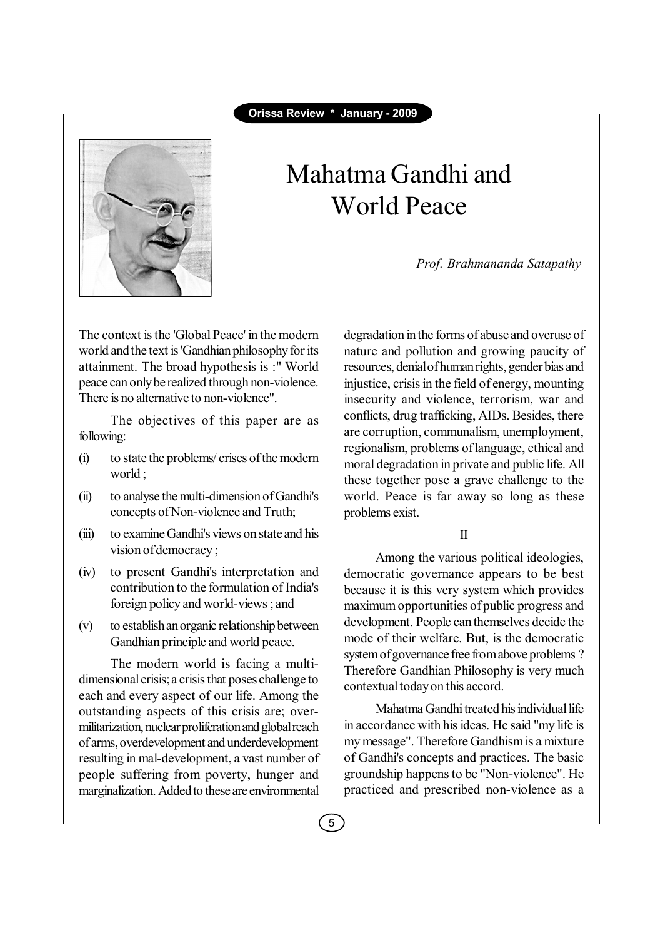

# Mahatma Gandhi and World Peace

*Prof. Brahmananda Satapathy*

The context is the 'Global Peace' in the modern world and the text is 'Gandhian philosophy for its attainment. The broad hypothesis is :" World peace can only be realized through non-violence. There is no alternative to non-violence".

The objectives of this paper are as following:

- (i) to state the problems/ crises of the modern world ;
- (ii) to analyse the multi-dimension of Gandhi's concepts of Non-violence and Truth;
- (iii) to examine Gandhi's views on state and his vision of democracy ;
- (iv) to present Gandhi's interpretation and contribution to the formulation of India's foreign policy and world-views ; and
- (v) to establish an organic relationship between Gandhian principle and world peace.

The modern world is facing a multidimensional crisis; a crisis that poses challenge to each and every aspect of our life. Among the outstanding aspects of this crisis are; overmilitarization, nuclear proliferation and global reach of arms, overdevelopment and underdevelopment resulting in mal-development, a vast number of people suffering from poverty, hunger and marginalization. Added to these are environmental

degradation in the forms of abuse and overuse of nature and pollution and growing paucity of resources, denial of human rights, gender bias and injustice, crisis in the field of energy, mounting insecurity and violence, terrorism, war and conflicts, drug trafficking, AIDs. Besides, there are corruption, communalism, unemployment, regionalism, problems of language, ethical and moral degradation in private and public life. All these together pose a grave challenge to the world. Peace is far away so long as these problems exist.

#### II

Among the various political ideologies, democratic governance appears to be best because it is this very system which provides maximum opportunities of public progress and development. People can themselves decide the mode of their welfare. But, is the democratic system of governance free from above problems ? Therefore Gandhian Philosophy is very much contextual today on this accord.

Mahatma Gandhi treated his individual life in accordance with his ideas. He said "my life is my message". Therefore Gandhism is a mixture of Gandhi's concepts and practices. The basic groundship happens to be "Non-violence". He practiced and prescribed non-violence as a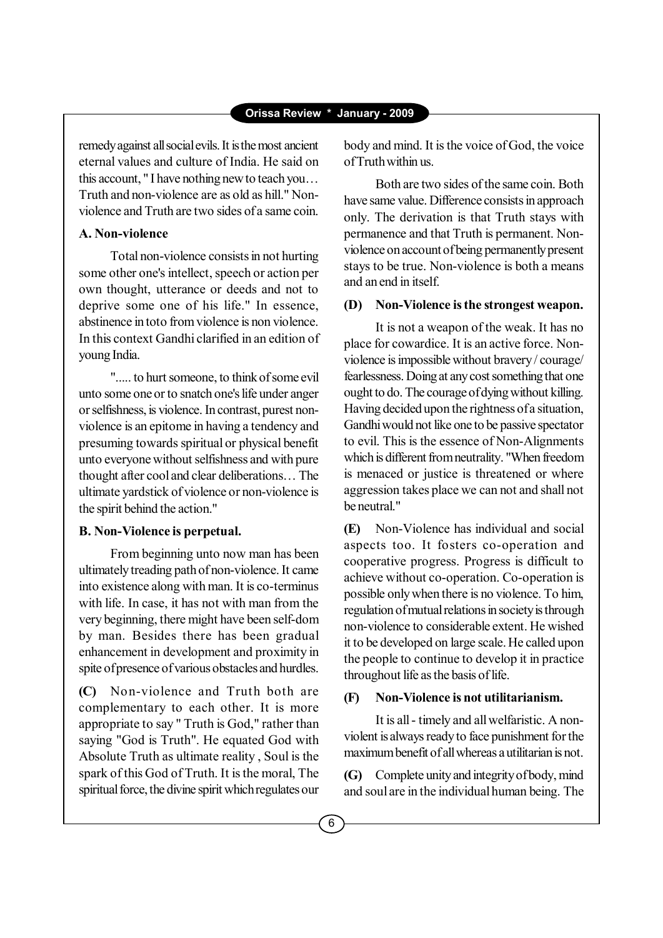remedy against all social evils. It is the most ancient eternal values and culture of India. He said on this account, "I have nothing new to teach you... Truth and non-violence are as old as hill." Nonviolence and Truth are two sides of a same coin.

## **A. Non-violence**

Total non-violence consists in not hurting some other one's intellect, speech or action per own thought, utterance or deeds and not to deprive some one of his life." In essence, abstinence in toto from violence is non violence. In this context Gandhi clarified in an edition of young India.

"..... to hurt someone, to think of some evil unto some one or to snatch one's life under anger or selfishness, is violence. In contrast, purest nonviolence is an epitome in having a tendency and presuming towards spiritual or physical benefit unto everyone without selfishness and with pure thought after cool and clear deliberations... The ultimate yardstick of violence or non-violence is the spirit behind the action."

### **B. Non-Violence is perpetual.**

From beginning unto now man has been ultimately treading path of non-violence. It came into existence along with man. It is co-terminus with life. In case, it has not with man from the very beginning, there might have been self-dom by man. Besides there has been gradual enhancement in development and proximity in spite of presence of various obstacles and hurdles.

**(C)** Non-violence and Truth both are complementary to each other. It is more appropriate to say " Truth is God," rather than saying "God is Truth". He equated God with Absolute Truth as ultimate reality , Soul is the spark of this God of Truth. It is the moral, The spiritual force, the divine spirit which regulates our body and mind. It is the voice of God, the voice of Truth within us.

Both are two sides of the same coin. Both have same value. Difference consists in approach only. The derivation is that Truth stays with permanence and that Truth is permanent. Nonviolence on account of being permanently present stays to be true. Non-violence is both a means and an end in itself.

## **(D) Non-Violence is the strongest weapon.**

It is not a weapon of the weak. It has no place for cowardice. It is an active force. Nonviolence is impossible without bravery / courage/ fearlessness. Doing at any cost something that one ought to do. The courage of dying without killing. Having decided upon the rightness of a situation, Gandhi would not like one to be passive spectator to evil. This is the essence of Non-Alignments which is different from neutrality. "When freedom is menaced or justice is threatened or where aggression takes place we can not and shall not be neutral."

**(E)** Non-Violence has individual and social aspects too. It fosters co-operation and cooperative progress. Progress is difficult to achieve without co-operation. Co-operation is possible only when there is no violence. To him, regulation of mutual relations in society is through non-violence to considerable extent. He wished it to be developed on large scale. He called upon the people to continue to develop it in practice throughout life as the basis of life.

### **(F) Non-Violence is not utilitarianism.**

It is all - timely and all welfaristic. A nonviolent is always ready to face punishment for the maximum benefit of all whereas a utilitarian is not.

**(G)** Complete unity and integrity of body, mind and soul are in the individual human being. The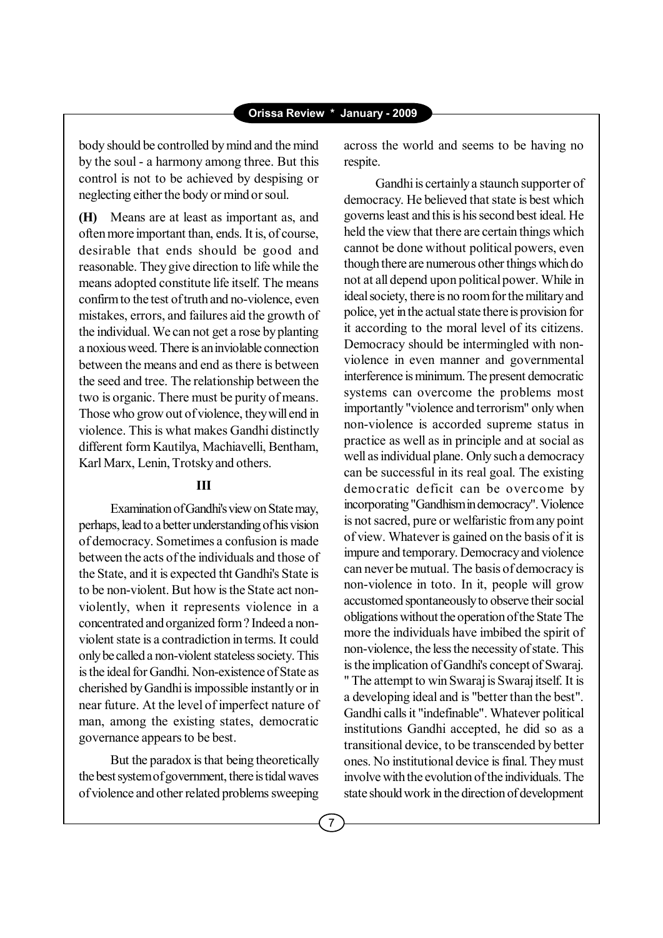body should be controlled by mind and the mind by the soul - a harmony among three. But this control is not to be achieved by despising or neglecting either the body or mind or soul.

**(H)** Means are at least as important as, and often more important than, ends. It is, of course, desirable that ends should be good and reasonable. They give direction to life while the means adopted constitute life itself. The means confirm to the test of truth and no-violence, even mistakes, errors, and failures aid the growth of the individual. We can not get a rose by planting a noxious weed. There is an inviolable connection between the means and end as there is between the seed and tree. The relationship between the two is organic. There must be purity of means. Those who grow out of violence, they will end in violence. This is what makes Gandhi distinctly different form Kautilya, Machiavelli, Bentham, Karl Marx, Lenin, Trotsky and others.

# **III**

Examination of Gandhi's view on State may, perhaps, lead to a better understanding of his vision of democracy. Sometimes a confusion is made between the acts of the individuals and those of the State, and it is expected tht Gandhi's State is to be non-violent. But how is the State act nonviolently, when it represents violence in a concentrated and organized form ? Indeed a nonviolent state is a contradiction in terms. It could only be called a non-violent stateless society. This is the ideal for Gandhi. Non-existence of State as cherished by Gandhi is impossible instantly or in near future. At the level of imperfect nature of man, among the existing states, democratic governance appears to be best.

But the paradox is that being theoretically the best system of government, there is tidal waves of violence and other related problems sweeping across the world and seems to be having no respite.

Gandhi is certainly a staunch supporter of democracy. He believed that state is best which governs least and this is his second best ideal. He held the view that there are certain things which cannot be done without political powers, even though there are numerous other things which do not at all depend upon political power. While in ideal society, there is no room for the military and police, yet in the actual state there is provision for it according to the moral level of its citizens. Democracy should be intermingled with nonviolence in even manner and governmental interference is minimum. The present democratic systems can overcome the problems most importantly "violence and terrorism" only when non-violence is accorded supreme status in practice as well as in principle and at social as well as individual plane. Only such a democracy can be successful in its real goal. The existing democratic deficit can be overcome by incorporating "Gandhism in democracy". Violence is not sacred, pure or welfaristic from any point of view. Whatever is gained on the basis of it is impure and temporary. Democracy and violence can never be mutual. The basis of democracy is non-violence in toto. In it, people will grow accustomed spontaneously to observe their social obligations without the operation of the State The more the individuals have imbibed the spirit of non-violence, the less the necessity of state. This is the implication of Gandhi's concept of Swaraj. " The attempt to win Swaraj is Swaraj itself. It is a developing ideal and is "better than the best". Gandhi calls it "indefinable". Whatever political institutions Gandhi accepted, he did so as a transitional device, to be transcended by better ones. No institutional device is final. They must involve with the evolution of the individuals. The state should work in the direction of development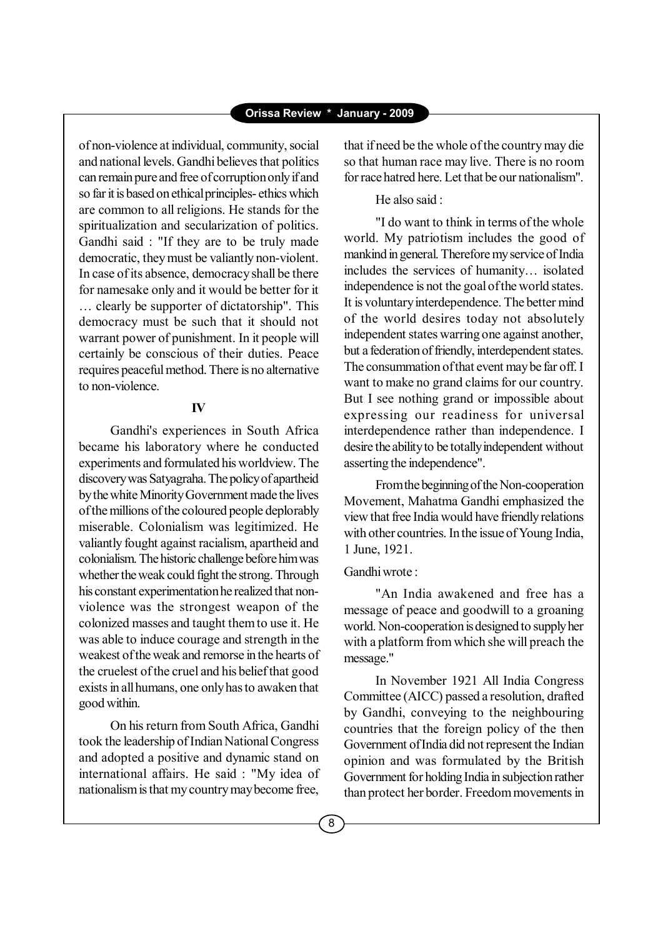of non-violence at individual, community, social and national levels. Gandhi believes that politics can remain pure and free of corruption only if and so far it is based on ethical principles- ethics which are common to all religions. He stands for the spiritualization and secularization of politics. Gandhi said : "If they are to be truly made democratic, they must be valiantly non-violent. In case of its absence, democracy shall be there for namesake only and it would be better for it ... clearly be supporter of dictatorship". This democracy must be such that it should not warrant power of punishment. In it people will certainly be conscious of their duties. Peace requires peaceful method. There is no alternative to non-violence.

#### **IV**

Gandhi's experiences in South Africa became his laboratory where he conducted experiments and formulated his worldview. The discovery was Satyagraha. The policy of apartheid by the white Minority Government made the lives of the millions of the coloured people deplorably miserable. Colonialism was legitimized. He valiantly fought against racialism, apartheid and colonialism. The historic challenge before him was whether the weak could fight the strong. Through his constant experimentation he realized that nonviolence was the strongest weapon of the colonized masses and taught them to use it. He was able to induce courage and strength in the weakest of the weak and remorse in the hearts of the cruelest of the cruel and his belief that good exists in all humans, one only has to awaken that good within.

On his return from South Africa, Gandhi took the leadership of Indian National Congress and adopted a positive and dynamic stand on international affairs. He said : "My idea of nationalism is that my country may become free, that if need be the whole of the country may die so that human race may live. There is no room for race hatred here. Let that be our nationalism".

#### He also said :

"I do want to think in terms of the whole world. My patriotism includes the good of mankind in general. Therefore my service of India includes the services of humanity... isolated independence is not the goal of the world states. It is voluntary interdependence. The better mind of the world desires today not absolutely independent states warring one against another, but a federation of friendly, interdependent states. The consummation of that event may be far off. I want to make no grand claims for our country. But I see nothing grand or impossible about expressing our readiness for universal interdependence rather than independence. I desire the ability to be totally independent without asserting the independence".

From the beginning of the Non-cooperation Movement, Mahatma Gandhi emphasized the view that free India would have friendly relations with other countries. In the issue of Young India, 1 June, 1921.

## Gandhi wrote :

"An India awakened and free has a message of peace and goodwill to a groaning world. Non-cooperation is designed to supply her with a platform from which she will preach the message."

In November 1921 All India Congress Committee (AICC) passed a resolution, drafted by Gandhi, conveying to the neighbouring countries that the foreign policy of the then Government of India did not represent the Indian opinion and was formulated by the British Government for holding India in subjection rather than protect her border. Freedom movements in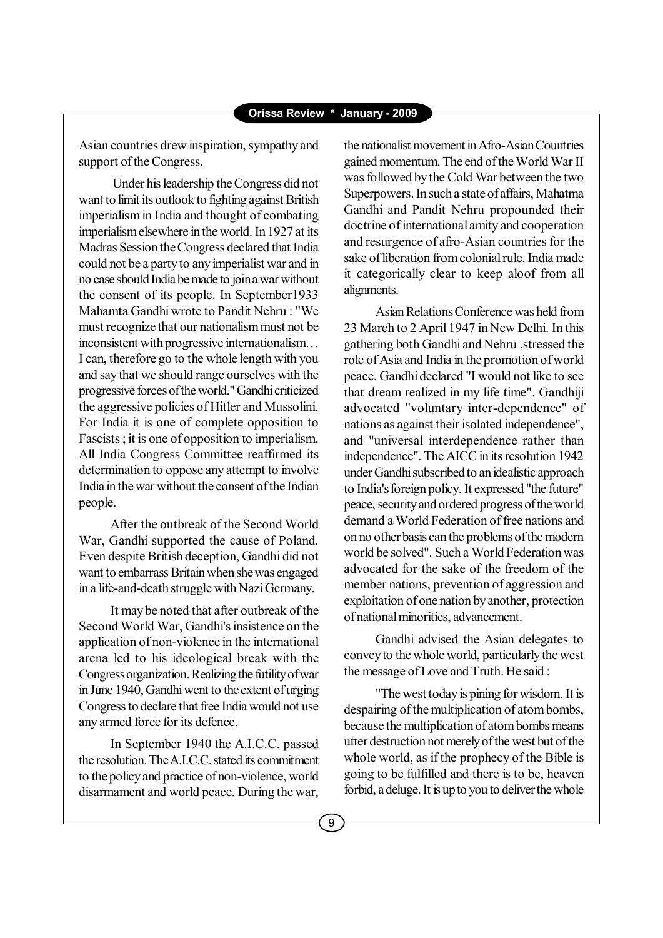Asian countries drew inspiration, sympathy and support of the Congress.

 Under his leadership the Congress did not want to limit its outlook to fighting against British imperialism in India and thought of combating imperialism elsewhere in the world. In 1927 at its Madras Session the Congress declared that India could not be a party to any imperialist war and in no case should India be made to join a war without the consent of its people. In September1933 Mahamta Gandhi wrote to Pandit Nehru : "We must recognize that our nationalism must not be  $incons$  is inconsistent with progressive internationalism... I can, therefore go to the whole length with you and say that we should range ourselves with the progressive forces of the world." Gandhi criticized the aggressive policies of Hitler and Mussolini. For India it is one of complete opposition to Fascists ; it is one of opposition to imperialism. All India Congress Committee reaffirmed its determination to oppose any attempt to involve India in the war without the consent of the Indian people.

After the outbreak of the Second World War, Gandhi supported the cause of Poland. Even despite British deception, Gandhi did not want to embarrass Britain when she was engaged in a life-and-death struggle with Nazi Germany.

It may be noted that after outbreak of the Second World War, Gandhi's insistence on the application of non-violence in the international arena led to his ideological break with the Congress organization. Realizing the futility of war in June 1940, Gandhi went to the extent of urging Congress to declare that free India would not use any armed force for its defence.

In September 1940 the A.I.C.C. passed the resolution. The A.I.C.C. stated its commitment to the policy and practice of non-violence, world disarmament and world peace. During the war,

the nationalist movement in Afro-Asian Countries gained momentum. The end of the World War II was followed by the Cold War between the two Superpowers. In such a state of affairs, Mahatma Gandhi and Pandit Nehru propounded their doctrine of international amity and cooperation and resurgence of afro-Asian countries for the sake of liberation from colonial rule. India made it categorically clear to keep aloof from all alignments.

Asian Relations Conference was held from 23 March to 2 April 1947 in New Delhi. In this gathering both Gandhi and Nehru ,stressed the role of Asia and India in the promotion of world peace. Gandhi declared "I would not like to see that dream realized in my life time". Gandhiji advocated "voluntary inter-dependence" of nations as against their isolated independence", and "universal interdependence rather than independence". The AICC in its resolution 1942 under Gandhi subscribed to an idealistic approach to India's foreign policy. It expressed "the future" peace, security and ordered progress of the world demand a World Federation of free nations and on no other basis can the problems of the modern world be solved". Such a World Federation was advocated for the sake of the freedom of the member nations, prevention of aggression and exploitation of one nation by another, protection of national minorities, advancement.

Gandhi advised the Asian delegates to convey to the whole world, particularly the west the message of Love and Truth. He said :

"The west today is pining for wisdom. It is despairing of the multiplication of atom bombs, because the multiplication of atom bombs means utter destruction not merely of the west but of the whole world, as if the prophecy of the Bible is going to be fulfilled and there is to be, heaven forbid, a deluge. It is up to you to deliver the whole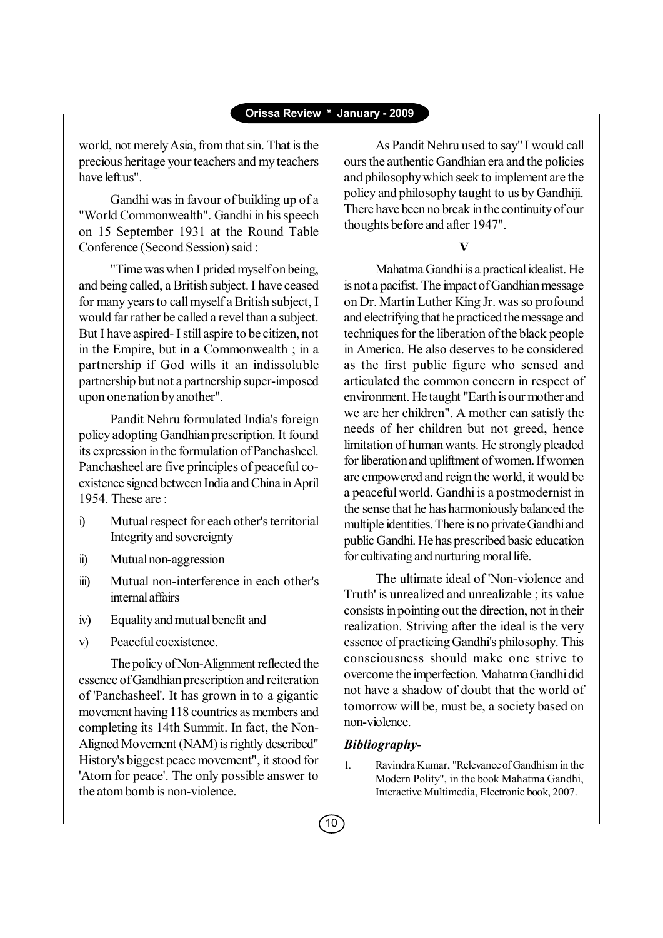world, not merely Asia, from that sin. That is the precious heritage your teachers and my teachers have left us".

Gandhi was in favour of building up of a "World Commonwealth". Gandhi in his speech on 15 September 1931 at the Round Table Conference (Second Session) said :

"Time was when I prided myself on being, and being called, a British subject. I have ceased for many years to call myself a British subject, I would far rather be called a revel than a subject. But I have aspired- I still aspire to be citizen, not in the Empire, but in a Commonwealth ; in a partnership if God wills it an indissoluble partnership but not a partnership super-imposed upon one nation by another".

Pandit Nehru formulated India's foreign policy adopting Gandhian prescription. It found its expression in the formulation of Panchasheel. Panchasheel are five principles of peaceful coexistence signed between India and China in April 1954 These are :

- i) Mutual respect for each other's territorial Integrity and sovereignty
- ii) Mutual non-aggression
- iii) Mutual non-interference in each other's internal affairs
- iv) Equality and mutual benefit and
- v) Peaceful coexistence.

The policy of Non-Alignment reflected the essence of Gandhian prescription and reiteration of 'Panchasheel'. It has grown in to a gigantic movement having 118 countries as members and completing its 14th Summit. In fact, the Non-Aligned Movement (NAM) is rightly described" History's biggest peace movement", it stood for 'Atom for peace'. The only possible answer to the atom bomb is non-violence.

As Pandit Nehru used to say" I would call ours the authentic Gandhian era and the policies and philosophy which seek to implement are the policy and philosophy taught to us by Gandhiji. There have been no break in the continuity of our thoughts before and after 1947".

#### **V**

Mahatma Gandhi is a practical idealist. He is not a pacifist. The impact of Gandhian message on Dr. Martin Luther King Jr. was so profound and electrifying that he practiced the message and techniques for the liberation of the black people in America. He also deserves to be considered as the first public figure who sensed and articulated the common concern in respect of environment. He taught "Earth is our mother and we are her children". A mother can satisfy the needs of her children but not greed, hence limitation of human wants. He strongly pleaded for liberation and upliftment of women. If women are empowered and reign the world, it would be a peaceful world. Gandhi is a postmodernist in the sense that he has harmoniously balanced the multiple identities. There is no private Gandhi and public Gandhi. He has prescribed basic education for cultivating and nurturing moral life.

The ultimate ideal of 'Non-violence and Truth' is unrealized and unrealizable ; its value consists in pointing out the direction, not in their realization. Striving after the ideal is the very essence of practicing Gandhi's philosophy. This consciousness should make one strive to overcome the imperfection. Mahatma Gandhi did not have a shadow of doubt that the world of tomorrow will be, must be, a society based on non-violence.

### *Bibliography-*

1. Ravindra Kumar, "Relevance of Gandhism in the Modern Polity", in the book Mahatma Gandhi, Interactive Multimedia, Electronic book, 2007.